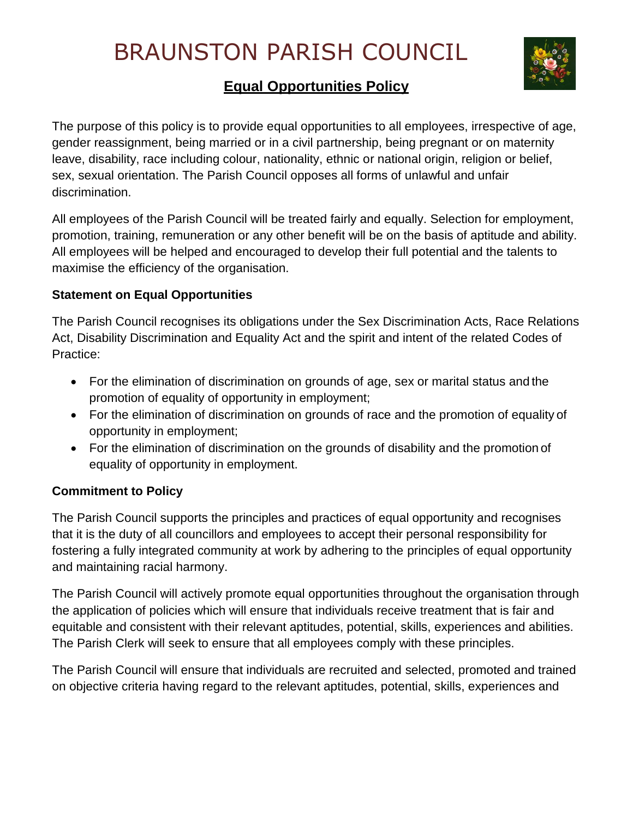# BRAUNSTON PARISH COUNCIL



# **Equal Opportunities Policy**

The purpose of this policy is to provide equal opportunities to all employees, irrespective of age, gender reassignment, being married or in a civil partnership, being pregnant or on maternity leave, disability, race including colour, nationality, ethnic or national origin, religion or belief, sex, sexual orientation. The Parish Council opposes all forms of unlawful and unfair discrimination.

All employees of the Parish Council will be treated fairly and equally. Selection for employment, promotion, training, remuneration or any other benefit will be on the basis of aptitude and ability. All employees will be helped and encouraged to develop their full potential and the talents to maximise the efficiency of the organisation.

# **Statement on Equal Opportunities**

The Parish Council recognises its obligations under the Sex Discrimination Acts, Race Relations Act, Disability Discrimination and Equality Act and the spirit and intent of the related Codes of Practice:

- For the elimination of discrimination on grounds of age, sex or marital status and the promotion of equality of opportunity in employment;
- For the elimination of discrimination on grounds of race and the promotion of equality of opportunity in employment;
- For the elimination of discrimination on the grounds of disability and the promotion of equality of opportunity in employment.

## **Commitment to Policy**

The Parish Council supports the principles and practices of equal opportunity and recognises that it is the duty of all councillors and employees to accept their personal responsibility for fostering a fully integrated community at work by adhering to the principles of equal opportunity and maintaining racial harmony.

The Parish Council will actively promote equal opportunities throughout the organisation through the application of policies which will ensure that individuals receive treatment that is fair and equitable and consistent with their relevant aptitudes, potential, skills, experiences and abilities. The Parish Clerk will seek to ensure that all employees comply with these principles.

The Parish Council will ensure that individuals are recruited and selected, promoted and trained on objective criteria having regard to the relevant aptitudes, potential, skills, experiences and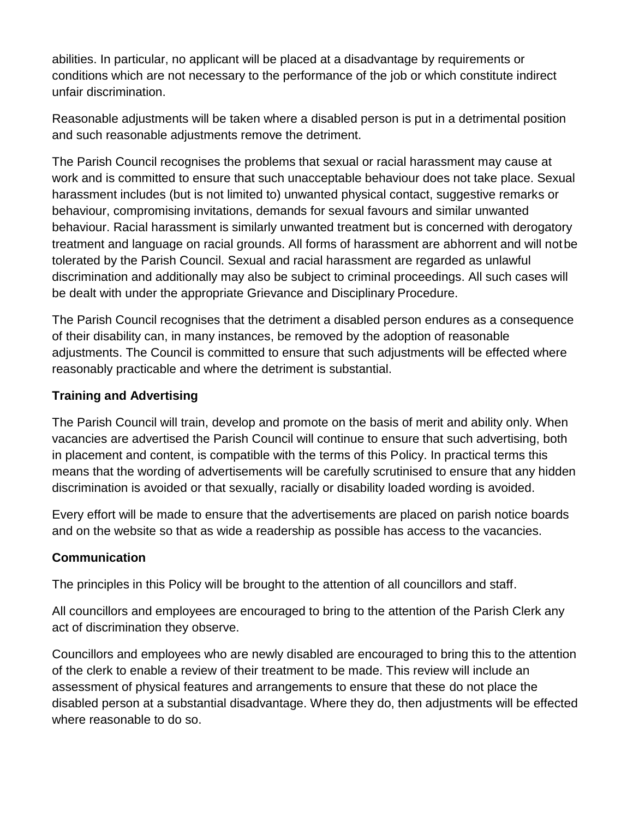abilities. In particular, no applicant will be placed at a disadvantage by requirements or conditions which are not necessary to the performance of the job or which constitute indirect unfair discrimination.

Reasonable adjustments will be taken where a disabled person is put in a detrimental position and such reasonable adjustments remove the detriment.

The Parish Council recognises the problems that sexual or racial harassment may cause at work and is committed to ensure that such unacceptable behaviour does not take place. Sexual harassment includes (but is not limited to) unwanted physical contact, suggestive remarks or behaviour, compromising invitations, demands for sexual favours and similar unwanted behaviour. Racial harassment is similarly unwanted treatment but is concerned with derogatory treatment and language on racial grounds. All forms of harassment are abhorrent and will notbe tolerated by the Parish Council. Sexual and racial harassment are regarded as unlawful discrimination and additionally may also be subject to criminal proceedings. All such cases will be dealt with under the appropriate Grievance and Disciplinary Procedure.

The Parish Council recognises that the detriment a disabled person endures as a consequence of their disability can, in many instances, be removed by the adoption of reasonable adjustments. The Council is committed to ensure that such adjustments will be effected where reasonably practicable and where the detriment is substantial.

#### **Training and Advertising**

The Parish Council will train, develop and promote on the basis of merit and ability only. When vacancies are advertised the Parish Council will continue to ensure that such advertising, both in placement and content, is compatible with the terms of this Policy. In practical terms this means that the wording of advertisements will be carefully scrutinised to ensure that any hidden discrimination is avoided or that sexually, racially or disability loaded wording is avoided.

Every effort will be made to ensure that the advertisements are placed on parish notice boards and on the website so that as wide a readership as possible has access to the vacancies.

#### **Communication**

The principles in this Policy will be brought to the attention of all councillors and staff.

All councillors and employees are encouraged to bring to the attention of the Parish Clerk any act of discrimination they observe.

Councillors and employees who are newly disabled are encouraged to bring this to the attention of the clerk to enable a review of their treatment to be made. This review will include an assessment of physical features and arrangements to ensure that these do not place the disabled person at a substantial disadvantage. Where they do, then adjustments will be effected where reasonable to do so.